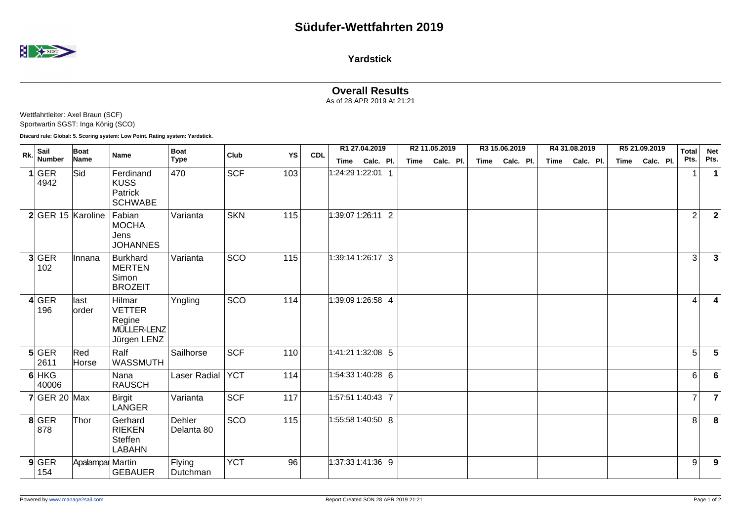

**Yardstick**

## **Overall Results**

As of 28 APR 2019 At 21:21

| Wettfahrtleiter: Axel Braun (SCF)  |
|------------------------------------|
| Sportwartin SGST: Inga König (SCO) |

**Discard rule: Global: 5. Scoring system: Low Point. Rating system: Yardstick.**

| Rk. | Sail              | Boat<br>Name     | Name                                                            | <b>Boat</b><br><b>Type</b> | Club       | YS  | <b>CDL</b> | R1 27.04.2019     |                | R2 11.05.2019 |           | R3 15.06.2019 |           |  |      | R4 31.08.2019 | R5 21.09.2019 |                |  | <b>Total</b>   | <b>Net</b>             |
|-----|-------------------|------------------|-----------------------------------------------------------------|----------------------------|------------|-----|------------|-------------------|----------------|---------------|-----------|---------------|-----------|--|------|---------------|---------------|----------------|--|----------------|------------------------|
|     | <b>Number</b>     |                  |                                                                 |                            |            |     |            |                   | Time Calc. Pl. | Time          | Calc. Pl. | Time          | Calc. Pl. |  | Time | Calc. Pl.     |               | Time Calc. Pl. |  | Pts.           | Pts.                   |
|     | 1 GER<br>4942     | Sid              | Ferdinand<br><b>KUSS</b><br>Patrick<br><b>SCHWABE</b>           | 470                        | <b>SCF</b> | 103 |            | 1:24:29 1:22:01 1 |                |               |           |               |           |  |      |               |               |                |  | 1              |                        |
|     | 2 GER 15 Karoline |                  | Fabian<br><b>MOCHA</b><br>Jens<br><b>JOHANNES</b>               | Varianta                   | <b>SKN</b> | 115 |            | 1:39:07 1:26:11 2 |                |               |           |               |           |  |      |               |               |                |  | $\overline{c}$ | $\mathbf{2}$           |
|     | 3 GER<br>102      | Innana           | <b>Burkhard</b><br><b>MERTEN</b><br>Simon<br><b>BROZEIT</b>     | Varianta                   | SCO        | 115 |            | 1:39:14 1:26:17 3 |                |               |           |               |           |  |      |               |               |                |  | 3              | 3                      |
|     | 4 GER<br>196      | last<br>order    | Hilmar<br><b>VETTER</b><br>Regine<br>MÜLLER-LENZ<br>Jürgen LENZ | Yngling                    | SCO        | 114 |            | 1:39:09 1:26:58 4 |                |               |           |               |           |  |      |               |               |                |  | 4              | $\boldsymbol{\Lambda}$ |
|     | 5 GER<br>2611     | Red<br>Horse     | Ralf<br>WASSMUTH                                                | Sailhorse                  | <b>SCF</b> | 110 |            | 1:41:21 1:32:08 5 |                |               |           |               |           |  |      |               |               |                |  | 5              | 5                      |
|     | $6$ HKG<br>40006  |                  | Nana<br><b>RAUSCH</b>                                           | Laser Radial               | <b>YCT</b> | 114 |            | 1:54:33 1:40:28 6 |                |               |           |               |           |  |      |               |               |                |  | 6              | 6                      |
|     | $7$ GER 20 Max    |                  | Birgit<br><b>LANGER</b>                                         | Varianta                   | <b>SCF</b> | 117 |            | 1:57:51 1:40:43 7 |                |               |           |               |           |  |      |               |               |                |  | $\overline{7}$ | 7                      |
|     | $8$ GER<br>878    | Thor             | Gerhard<br><b>RIEKEN</b><br><b>Steffen</b><br>LABAHN            | Dehler<br>Delanta 80       | SCO        | 115 |            | 1:55:58 1:40:50 8 |                |               |           |               |           |  |      |               |               |                |  | 8              | 8                      |
|     | $9$ GER<br>154    | Apalampar Martin | <b>GEBAUER</b>                                                  | Flying<br>Dutchman         | <b>YCT</b> | 96  |            | 1:37:33 1:41:36 9 |                |               |           |               |           |  |      |               |               |                |  | 9              | 9                      |